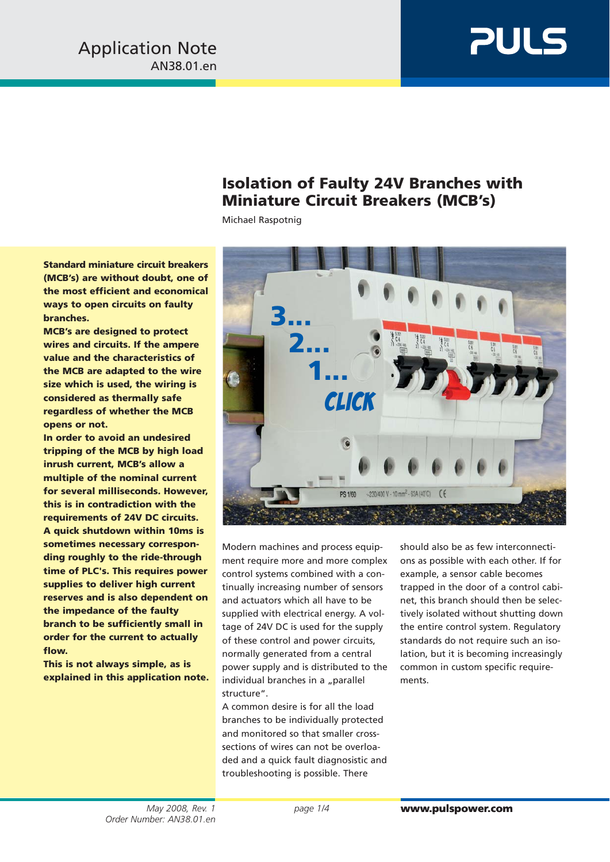# **PULS**

## **Isolation of Faulty 24V Branches with Miniature Circuit Breakers (MCB's)**

Michael Raspotnig

**Standard miniature circuit breakers (MCB's) are without doubt, one of the most efficient and economical ways to open circuits on faulty branches.**

**MCB's are designed to protect wires and circuits. If the ampere value and the characteristics of the MCB are adapted to the wire size which is used, the wiring is considered as thermally safe regardless of whether the MCB opens or not.**

**In order to avoid an undesired tripping of the MCB by high load inrush current, MCB's allow a multiple of the nominal current for several milliseconds. However, this is in contradiction with the requirements of 24V DC circuits. A quick shutdown within 10ms is sometimes necessary corresponding roughly to the ride-through time of PLC's. This requires power supplies to deliver high current reserves and is also dependent on the impedance of the faulty branch to be sufficiently small in order for the current to actually flow.**

**This is not always simple, as is explained in this application note.**



ment require more and more complex control systems combined with a continually increasing number of sensors and actuators which all have to be supplied with electrical energy. A voltage of 24V DC is used for the supply of these control and power circuits, normally generated from a central power supply and is distributed to the individual branches in a "parallel structure".

A common desire is for all the load branches to be individually protected and monitored so that smaller crosssections of wires can not be overloaded and a quick fault diagnosistic and troubleshooting is possible. There

ons as possible with each other. If for example, a sensor cable becomes trapped in the door of a control cabinet, this branch should then be selectively isolated without shutting down the entire control system. Regulatory standards do not require such an isolation, but it is becoming increasingly common in custom specific requirements.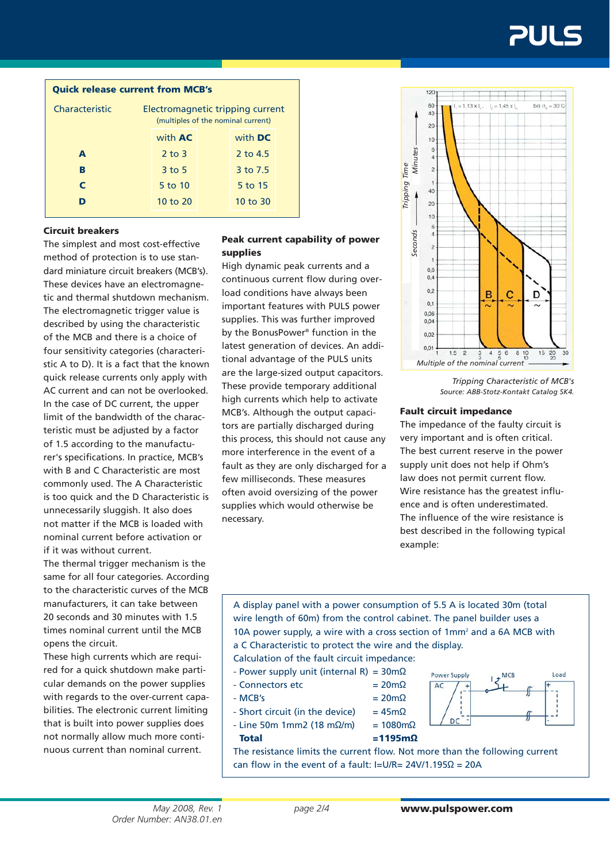#### **Quick release current from MCB's**

| Characteristic | Electromagnetic tripping current<br>(multiples of the nominal current) |  |                |  |  |  |  |
|----------------|------------------------------------------------------------------------|--|----------------|--|--|--|--|
|                | with <b>AC</b>                                                         |  | with <b>DC</b> |  |  |  |  |
| A              | $2$ to $3$                                                             |  | 2 to 4.5       |  |  |  |  |
| в              | $3$ to 5                                                               |  | 3 to 7.5       |  |  |  |  |
| C              | 5 to 10                                                                |  | 5 to 15        |  |  |  |  |
|                | 10 to 20                                                               |  | $10$ to $30$   |  |  |  |  |

#### **Circuit breakers**

The simplest and most cost-effective method of protection is to use standard miniature circuit breakers (MCB's). These devices have an electromagnetic and thermal shutdown mechanism. The electromagnetic trigger value is described by using the characteristic of the MCB and there is a choice of four sensitivity categories (characteristic A to D). It is a fact that the known quick release currents only apply with AC current and can not be overlooked. In the case of DC current, the upper limit of the bandwidth of the characteristic must be adjusted by a factor of 1.5 according to the manufacturer's specifications. In practice, MCB's with B and C Characteristic are most commonly used. The A Characteristic is too quick and the D Characteristic is unnecessarily sluggish. It also does not matter if the MCB is loaded with nominal current before activation or if it was without current.

The thermal trigger mechanism is the same for all four categories. According to the characteristic curves of the MCB manufacturers, it can take between 20 seconds and 30 minutes with 1.5 times nominal current until the MCB opens the circuit.

These high currents which are required for a quick shutdown make particular demands on the power supplies with regards to the over-current capabilities. The electronic current limiting that is built into power supplies does not normally allow much more continuous current than nominal current.

### **Peak current capability of power supplies**

High dynamic peak currents and a continuous current flow during overload conditions have always been important features with PULS power supplies. This was further improved by the BonusPower® function in the latest generation of devices. An additional advantage of the PULS units are the large-sized output capacitors. These provide temporary additional high currents which help to activate MCB's. Although the output capacitors are partially discharged during this process, this should not cause any more interference in the event of a fault as they are only discharged for a few milliseconds. These measures often avoid oversizing of the power supplies which would otherwise be necessary.



*Tripping Characteristic of MCB's Source: ABB-Stotz-Kontakt Catalog SK4.*

Load

MCF

#### **Fault circuit impedance**

The impedance of the faulty circuit is very important and is often critical. The best current reserve in the power supply unit does not help if Ohm's law does not permit current flow. Wire resistance has the greatest influence and is often underestimated. The influence of the wire resistance is best described in the following typical example:

A display panel with a power consumption of 5.5 A is located 30m (total wire length of 60m) from the control cabinet. The panel builder uses a 10A power supply, a wire with a cross section of 1mm<sup>2</sup> and a 6A MCB with a C Characteristic to protect the wire and the display.

Calculation of the fault circuit impedance:

- Power supply unit (internal R) =  $30 \text{m}\Omega$
- $-$  Connectors etc  $= 20 \text{m}\Omega$
- $-MCB's$  =  $20m\Omega$
- $-$  Short circuit (in the device) = 45m $\Omega$
- $-$  Line 50m 1mm2 (18 mΩ/m) = 1080mΩ **Total =1195mΩ**
- 
- 

































The resistance limits the current flow. Not more than the following current can flow in the event of a fault: I=U/R= 24V/1.195Ω = 20A

Power Supply

**DC** 

 $AC$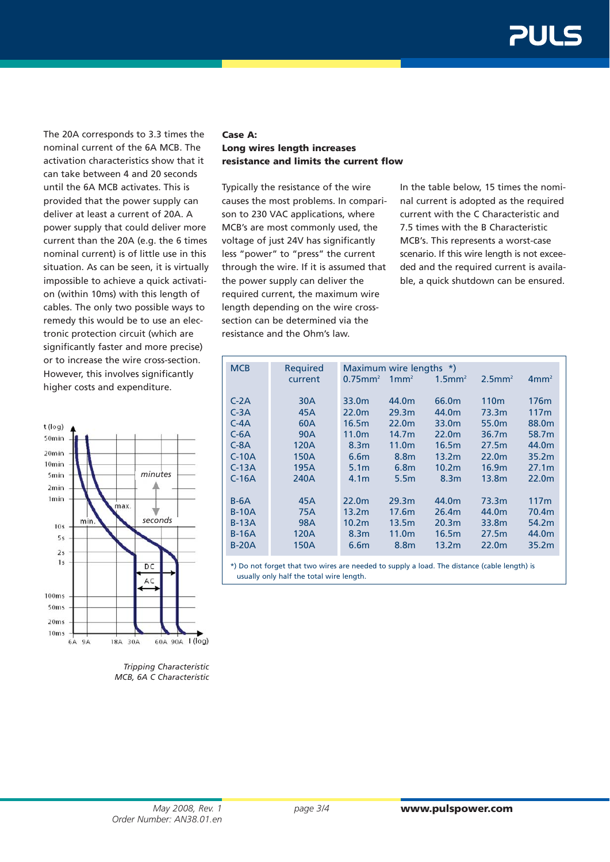The 20A corresponds to 3.3 times the nominal current of the 6A MCB. The activation characteristics show that it can take between 4 and 20 seconds until the 6A MCB activates. This is provided that the power supply can deliver at least a current of 20A. A power supply that could deliver more current than the 20A (e.g. the 6 times nominal current) is of little use in this situation. As can be seen, it is virtually impossible to achieve a quick activation (within 10ms) with this length of cables. The only two possible ways to remedy this would be to use an electronic protection circuit (which are significantly faster and more precise) or to increase the wire cross-section. However, this involves significantly higher costs and expenditure.



*Tripping Characteristic MCB, 6A C Characteristic*

#### **Case A: Long wires length increases resistance and limits the current flow**

Typically the resistance of the wire causes the most problems. In comparison to 230 VAC applications, where MCB's are most commonly used, the voltage of just 24V has significantly less "power" to "press" the current through the wire. If it is assumed that the power supply can deliver the required current, the maximum wire length depending on the wire crosssection can be determined via the resistance and the Ohm's law.

In the table below, 15 times the nominal current is adopted as the required current with the C Characteristic and 7.5 times with the B Characteristic MCB's. This represents a worst-case scenario. If this wire length is not exceeded and the required current is available, a quick shutdown can be ensured.

| <b>MCB</b> | <b>Required</b> | Maximum wire lengths *) |                   |                       |                       |                   |  |
|------------|-----------------|-------------------------|-------------------|-----------------------|-----------------------|-------------------|--|
|            | current         | $0.75$ mm <sup>2</sup>  | 1mm <sup>2</sup>  | $1.5$ mm <sup>2</sup> | $2.5$ mm <sup>2</sup> | 4mm <sup>2</sup>  |  |
|            |                 |                         |                   |                       |                       |                   |  |
| $C-2A$     | 30A             | 33.0 <sub>m</sub>       | 44.0 <sub>m</sub> | 66.0 <sub>m</sub>     | 110 <sub>m</sub>      | 176 <sub>m</sub>  |  |
| $C-3A$     | 45A             | 22.0 <sub>m</sub>       | 29.3 <sub>m</sub> | 44.0m                 | 73.3m                 | 117m              |  |
| $C-4A$     | 60A             | 16.5m                   | 22.0 <sub>m</sub> | 33.0 <sub>m</sub>     | 55.0 <sub>m</sub>     | 88.0 <sub>m</sub> |  |
| $C-6A$     | 90A             | 11.0 <sub>m</sub>       | 14.7 <sub>m</sub> | 22.0 <sub>m</sub>     | 36.7m                 | 58.7m             |  |
| $C-8A$     | 120A            | 8.3 <sub>m</sub>        | 11.0 <sub>m</sub> | 16.5m                 | 27.5m                 | 44.0m             |  |
| $C-10A$    | 150A            | 6.6 <sub>m</sub>        | 8.8m              | 13.2 <sub>m</sub>     | 22.0 <sub>m</sub>     | 35.2 <sub>m</sub> |  |
| $C-13A$    | 195A            | 5.1 <sub>m</sub>        | 6.8 <sub>m</sub>  | 10.2 <sub>m</sub>     | 16.9 <sub>m</sub>     | 27.1 <sub>m</sub> |  |
| $C-16A$    | 240A            | 4.1 <sub>m</sub>        | 5.5 <sub>m</sub>  | 8.3 <sub>m</sub>      | 13.8 <sub>m</sub>     | 22.0m             |  |
|            |                 |                         |                   |                       |                       |                   |  |
| $B-6A$     | 45A             | 22.0 <sub>m</sub>       | 29.3 <sub>m</sub> | 44.0m                 | 73.3m                 | 117m              |  |
| $B-10A$    | 75A             | 13.2 <sub>m</sub>       | 17.6m             | 26.4m                 | 44.0m                 | 70.4m             |  |
| $B-13A$    | 98A             | 10.2 <sub>m</sub>       | 13.5m             | 20.3 <sub>m</sub>     | 33.8m                 | 54.2m             |  |
| $B-16A$    | 120A            | 8.3 <sub>m</sub>        | 11.0 <sub>m</sub> | 16.5m                 | 27.5m                 | 44.0m             |  |
| $B-20A$    | 150A            | 6.6 <sub>m</sub>        | 8.8m              | 13.2m                 | 22.0 <sub>m</sub>     | 35.2m             |  |
|            |                 |                         |                   |                       |                       |                   |  |

\*) Do not forget that two wires are needed to supply a load. The distance (cable length) is usually only half the total wire length.